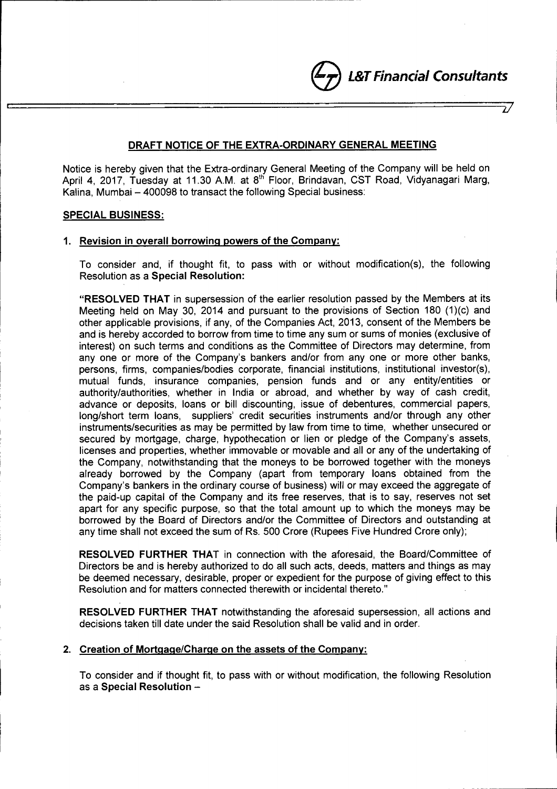e*L&T Financial Consultants*

*iJ*

# DRAFT NOTICE OF THE EXTRA-ORDINARY GENERAL MEETING

Notice is hereby given that the Extra-ordinary General Meeting of the Company will be held on April 4, 2017, Tuesday at 11.30 A.M. at 8<sup>th</sup> Floor, Brindavan, CST Road, Vidyanagari Marg, Kalina, Mumbai - 400098 to transact the following Special business:

# SPECIAL BUSINESS:

# 1. Revision in overall borrowing powers of the Company:

To consider and, if thought fit, to pass with or without modification(s), the following Resolution as a Special Resolution:

"RESOLVED THAT in supersession of the earlier resolution passed by the Members at its Meeting held on May 30, 2014 and pursuant to the provisions of Section 180 (1)(c) and other applicable provisions, if any, of the Companies Act, 2013, consent of the Members be and is hereby accorded to borrow from time to time any sum or sums of monies (exclusive of interest) on such terms and conditions as the Committee of Directors may determine, from any one or more of the Company's bankers and/or from any one or more other banks, persons, firms, companies/bodies corporate, financial institutions, institutional investor(s), mutual funds, insurance companies, pension funds and or any entity/entities or authority/authorities, whether in India or abroad, and whether by way of cash credit, advance or deposits, loans or bill discounting, issue of debentures, commercial papers, long/short term loans, suppliers' credit securities instruments and/or through any other instruments/securities as may be permitted by law from time to time, whether unsecured or secured by mortgage, charge, hypothecation or lien or pledge of the Company's assets, licenses and properties, whether immovable or movable and all or any of the undertaking of the Company, notwithstanding that the moneys to be borrowed together with the moneys already borrowed by the Company (apart from temporary loans obtained from the Company's bankers in the ordinary course of business) will or may exceed the aggregate of the paid-up capital of the Company and its free reserves, that is to say, reserves not set apart for any specific purpose, so that the total amount up to which the moneys may be borrowed by the Board of Directors and/or the Committee of Directors and outstanding at any time shall not exceed the sum of Rs. 500 Crore (Rupees Five Hundred Crore only);

RESOLVED FURTHER THAT in connection with the aforesaid, the Board/Committee of Directors be and is hereby authorized to do all such acts, deeds, matters and things as may be deemed necessary, desirable, proper or expedient for the purpose of giving effect to this Resolution and for matters connected therewith or incidental thereto."

RESOLVED FURTHER THAT notwithstanding the aforesaid supersession, all actions and decisions taken till date under the said Resolution shall be valid and in order.

# 2. Creation of Mortgage/Charge on the assets of the Company:

To consider and if thought fit, to pass with or without modification, the following Resolution as a Special Resolution -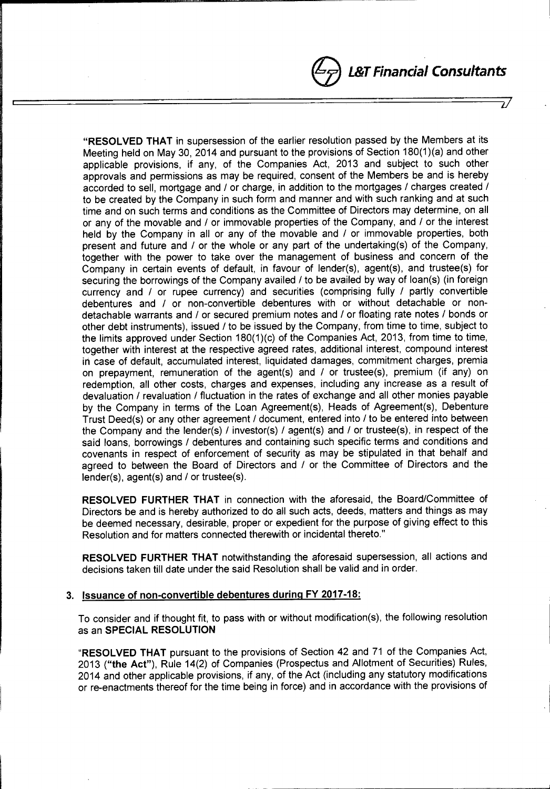# e *L&TFinandal Consultants*

*iJ*

oJ

"RESOLVED THAT in supersession of the earlier resolution passed by the Members at its Meeting held on May 30, 2014 and pursuant to the provisions of Section  $180(1)(a)$  and other applicable provisions, if any, of the Companies Act, 2013 and subject to such other approvals and permissions as may be required, consent of the Members be and is hereby accorded to sell, mortgage and / or charge, in addition to the mortgages / charges created / to be created by the Company in such form and manner and with such ranking and at such time and on such terms and conditions as the Committee of Directors may determine, on all or any of the movable and / or immovable properties of the Company, and / or the interest held by the Company in all or any of the movable and / or immovable properties, both present and future and / or the whole or any part of the undertaking(s) of the Company, together with the power to take over the management of business and concern of the Company in certain events of default, in favour of lender(s), agent(s), and trustee(s) for securing the borrowings of the Company availed / to be availed by way of loan(s) (in foreign currency and / or rupee currency) and securities (comprising fully / partly convertible debentures and / or non-convertible debentures with or without detachable or nondetachable warrants and / or secured premium notes and / or floating rate notes / bonds or other debt instruments), issued / to be issued by the Company, from time to time, subject to the limits approved under Section 180(1)(c) of the Companies Act, 2013, from time to time, together with interest at the respective agreed rates, additional interest, compound interest in case of default, accumulated interest, liquidated damages, commitment charges, premia on prepayment, remuneration of the agent(s) and / or trustee(s), premium (if any) on redemption, all other costs, charges and expenses, including any increase as a result of devaluation / revaluation / fluctuation in the rates of exchange and all other monies payable by the Company in terms of the Loan Agreement(s), Heads of Agreement(s), Debenture Trust Deed(s) or any other agreement / document, entered into / to be entered into between the Company and the lender(s) / investor(s) / agent(s) and / or trustee(s), in respect of the said loans, borrowings / debentures and containing such specific terms and conditions and covenants in respect of enforcement of security as may be stipulated in that behalf and agreed to between the Board of Directors and / or the Committee of Directors and the lender(s), agent(s) and / or trustee(s).

RESOLVED FURTHER THAT in connection with the aforesaid, the Board/Committee of Directors be and is hereby authorized to do all such acts, deeds, matters and things as may be deemed necessary, desirable, proper or expedient for the purpose of giving effect to this Resolution and for matters connected therewith or incidental thereto."

RESOLVED FURTHER THAT notwithstanding the aforesaid supersession, all actions and decisions taken till date under the said Resolution shall be valid and in order.

# 3. Issuance of non-convertible debentures during FY 2017-18:

 $\bullet$  . The contract of the contract of the contract of the contract of the contract of the contract of the contract of the contract of the contract of the contract of the contract of the contract of the contract of the co

To consider and if thought fit, to pass with or without modification(s), the following resolution as an SPECIAL RESOLUTION

"RESOLVED THAT pursuant to the provisions of Section 42 and 71 of the Companies Act, 2013 ("the Act"), Rule 14(2) of Companies (Prospectus and Allotment of Securities) Rules, 2014 and other applicable provisions, if any, of the Act (including any statutory modifications or re-enactments thereof for the time being in force) and in accordance with the provisions of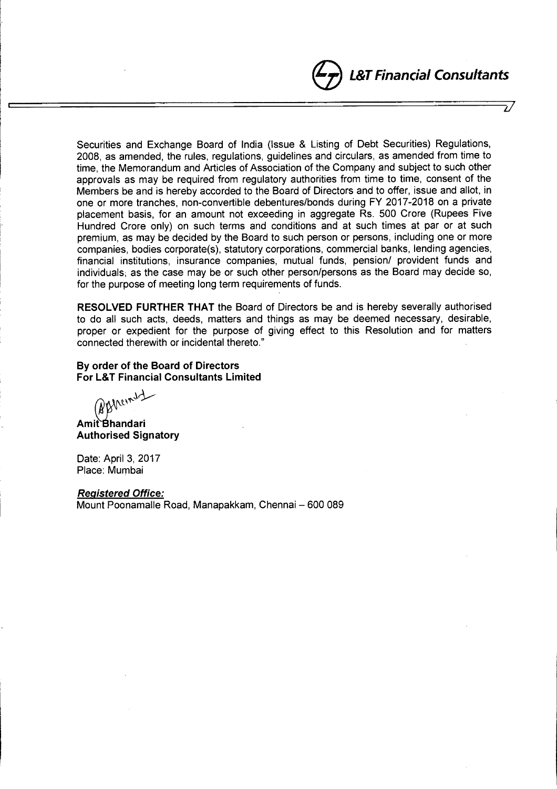# e*L&TFinancial Consultants*

 $\mathcal{U}$ 

Securities and Exchange Board of India (Issue & Listing of Debt Securities) Regulations, 2008, as amended, the rules, regulations, guidelines and circulars, as amended from time to time, the Memorandum and Articles of Association of the Company and subject to such other approvals as may be required from regulatory authorities from time to time, consent of the Members be and is hereby accorded to the Board of Directors and to offer, issue and allot, in one or more tranches, non-convertible debentures/bonds during FY 2017-2018 on a private placement basis, for an amount not exceeding in aggregate Rs. 500 Crore (Rupees Five Hundred Crore only) on such terms and conditions and at such times at par or at such premium, as may be decided by the Board to such person or persons, including one or more companies, bodies corporate(s), statutory corporations, commercial banks, lending agencies, financial institutions, insurance companies, mutual funds, pension/ provident funds and individuals; as the case may be or such other person/persons as the Board may decide so, for the purpose of meeting long term requirements of funds.

*L..-.-------------------------------------LJ*

RESOLVED FURTHER THAT the Board of Directors be and is hereby severally authorised to do all such acts, deeds, matters and things as may be deemed necessary, desirable, proper or expedient for the purpose of giving effect to this Resolution and for matters connected therewith or incidental thereto."

# By order of the Board of Directors **For L&T Financial Consultants Limited**

(NBhanny)

Amit Bhandari Authorised Signatory

Date: April 3, 2017 Place: Mumbai

*Registered Office:* Mount Poonamalle Road, Manapakkam, Chennai - 600 089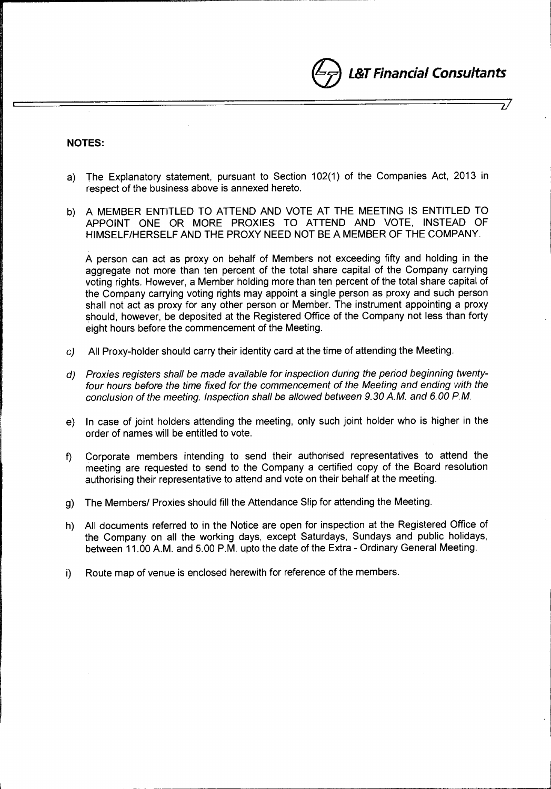**L&T Financial Consultants** 

*iJ*

J

# **NOTES:**

- a) The Explanatory statement, pursuant to Section 102(1) of the Companies Act, 2013 in respect of the business above is annexed hereto.
- b) A MEMBER ENTITLED TO ATTEND AND VOTE AT THE MEETING IS ENTITLED TO APPOINT ONE OR MORE PROXIES TO ATTEND AND VOTE, INSTEAD OF HIMSELF/HERSELF AND THE PROXY NEED NOT BE A MEMBER OF THE COMPANY.

A person can act as proxy on behalf of Members not exceeding fifty and holding in the aggregate not more than ten percent of the total share capital of the Company carrying voting rights. However, a Member holding more than ten percent of the total share capital of the Company carrying voting rights may appoint a single person as proxy and such person shall not act as proxy for any other person or Member. The instrument appointing a proxy should, however, be deposited at the Registered Office of the Company not less than forty eight hours before the commencement of the Meeting.

- c) All Proxy-holder should carry their identity card at the time of attending the Meeting.
- *d) Proxies registers shall be made available for inspection during the period beginning twentyfour hours before the time fixed for the commencement* of *the Meeting and ending with the conclusion* of *the meeting. Inspection shall be allowed between 9.30 A.M. and 6.00* PM.
- e) In case of joint holders attending the meeting, only such joint holder who is higher in the order of names will be entitled to vote.
- f) Corporate members intending to send their authorised representatives to attend the meeting are requested to send to the Company a certified copy of the Board resolution authorising their representative to attend and vote on their behalf at the meeting.
- g) The Members/ Proxies should fill the Attendance Slip for attending the Meeting.
- h) All documents referred to in the Notice are open for inspection at the Registered Office of the Company on all the working days, except Saturdays, Sundays and public holidays, between 11.00 A.M. and 5.00 P.M. upto the date of the Extra - Ordinary General Meeting.
- i) Route map of venue is enclosed herewith for reference of the members.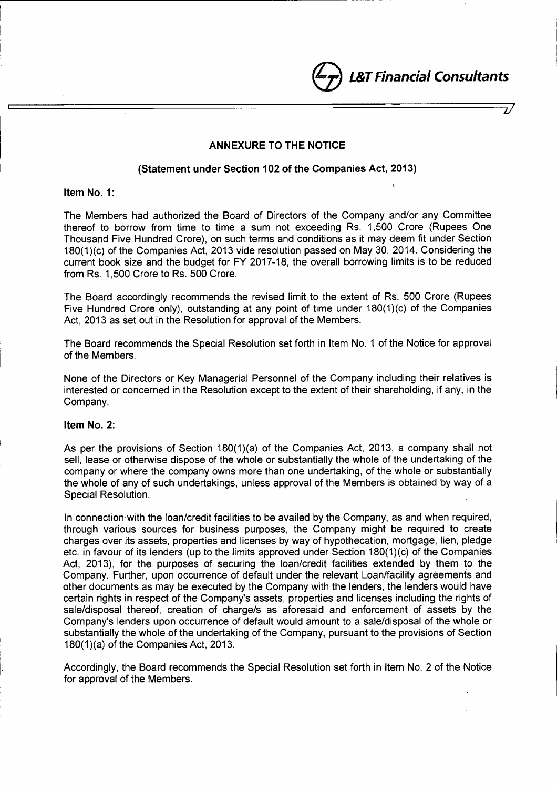@ *L&TFinancial Consultants*

# ANNEXURE TO THE NOTICE

*'----------------------------LJ*

### (Statement under Section 102 of the Companies Act, 2013)

Item No.1:

The Members had authorized the Board of Directors of the Company and/or any Committee thereof to borrow from time to time a sum not exceeding Rs. 1,500 Crore (Rupees One Thousand Five Hundred Crore), on such terms and conditions as it may deem, fit under Section 180(1 )(c) of the Companies Act, 2013 vide resolution passed on May 30, 2014. Considering the current book size and the budget for FY 2017-18, the overall borrowing limits is to be reduced from Rs. 1,500 Crore to Rs. 500 Crore.

The Board accordingly recommends the revised limit to the extent of Rs. 500 Crore (Rupees Five Hundred Crore only), outstanding at any point of time under 180(1)(c) of the Companies Act, 2013 as set out in the Resolution for approval of the Members.

The Board recommends the Special Resolution set forth in Item NO.1 of the Notice for approval of the Members.

None of the Directors or Key Managerial Personnel of the Company including their relatives is interested or concerned in the Resolution except to the extent of their shareholding, if any, in the Company.

### Item No.2:

As per the provisions of Section 180(1)(a) of the Companies Act, 2013, a company shall not sell, lease or otherwise dispose of the whole or substantially the whole of the undertaking of the company or where the company owns more than one undertaking, of the whole or substantially the whole of any of such undertakings, unless approval of the Members is obtained by way of a Special Resolution.

In connection with the loan/credit facilities to be availed by the Company, as and when required, through various sources for business purposes, the Company might be required to create charges over its assets, properties and licenses by way of hypothecation, mortgage, lien, pledge etc. in favour of its lenders (up to the limits approved under Section 180(1)(c) of the Companies Act, 2013), for the purposes of securing the loan/credit facilities extended by them to the Company. Further, upon occurrence of default under the relevant Loan/facility agreements and other documents as may be executed by the Company with the lenders, the lenders would have certain rights in respect of the Company's assets, properties and licenses including the rights of sale/disposal thereof, creation of charge/s as aforesaid and enforcement of assets by the Company's lenders upon occurrence of default would amount to a sale/disposal of the whole or substantially the whole of the undertaking of the Company, pursuant to the provisions of Section 180(1 )(a) of the Companies Act, 2013.

Accordingly, the Board recommends the Special Resolution set forth in Item NO.2 of the Notice for approval of the Members.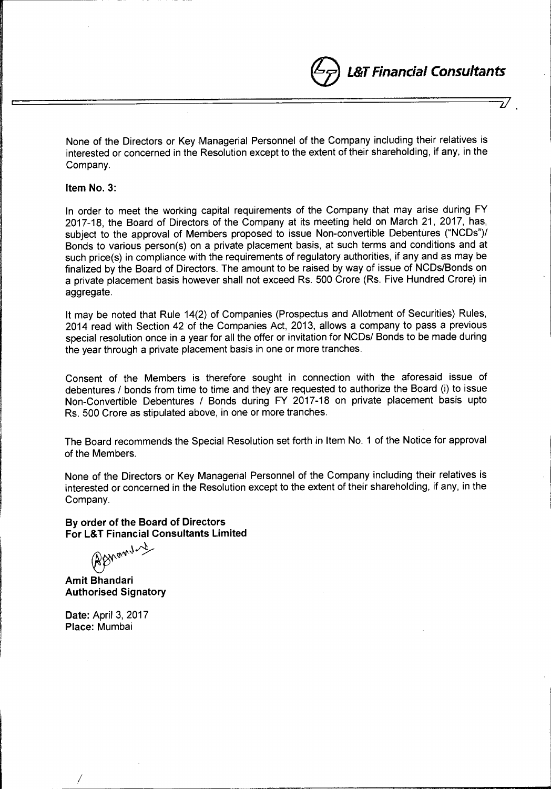el.&T *Financial Consultants*

1/

None of the Directors or Key Managerial Personnel of the Company including their relatives is interested or concerned in the Resolution except to the extent of their shareholding, if any, in the Company.

### Item NO.3:

In order to meet the working capital requirements of the Company that may arise during FY 2017-18, the Board of Directors of the Company at its meeting held on March 21, 2017, has, subject to the approval of Members proposed to issue Non-convertible Debentures ("NCDs")/ Bonds to various person(s) on a private placement basis, at such terms and conditions and at such price(s) in compliance with the requirements of regulatory authorities, if any and as may be finalized by the Board of Directors. The amount to be raised by way of issue of NCDs/Bonds on a private placement basis however shall not exceed Rs. 500 Crore (Rs. Five Hundred Crore) in aggregate.

It may be noted that Rule 14(2) of Companies (Prospectus and Allotment of Securities) Rules, 2014 read with Section 42 of the Companies Act, 2013, allows a company to pass a previous special resolution once in a year for all the offer or invitation for NCDs/ Bonds to be made during the year through a private placement basis in one or more tranches.

Consent of the Members is therefore sought in connection with the aforesaid issue of debentures / bonds from time to time and they are requested to authorize the Board (i) to issue Non-Convertible Debentures / Bonds during FY 2017-18 on private placement basis upto Rs. 500 Crore as stipulated above, in one or more tranches.

The Board recommends the Special Resolution set forth in Item No. 1 of the Notice for approval of the Members.

None of the Directors or Key Managerial Personnel of the Company including their relatives is interested or concerned in the Resolution except to the extent of their shareholding, if any, in the Company.

By order of the Board of Directors For L&T Financial Consultants Limited

*@?",+~A/*

Amit Bhandari Authorised Signatory

Date: April 3, 2017 Place: Mumbai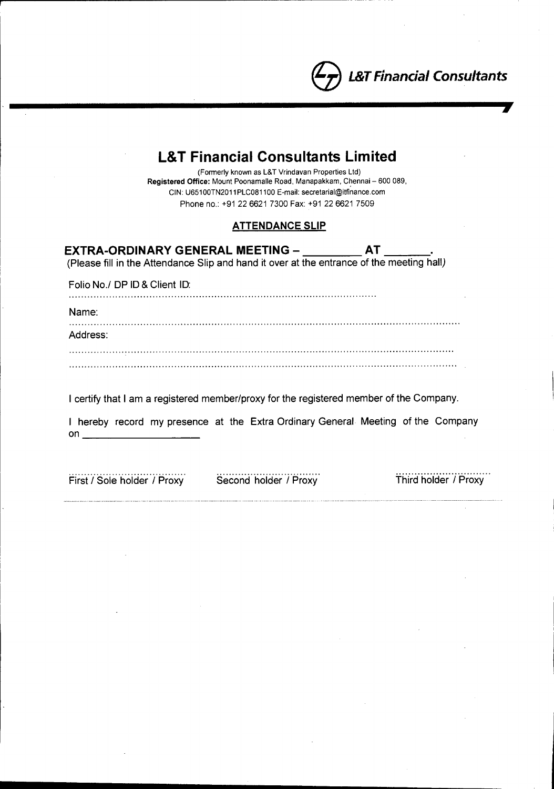

**7**

| <b>L&amp;T Financial Consultants Limited</b><br>(Formerly known as L&T Vrindavan Properties Ltd)<br>Registered Office: Mount Poonamalle Road, Manapakkam, Chennai - 600 089,<br>CIN: U65100TN2011PLC081100 E-mail: secretarial@itfinance.com<br>Phone no: +91 22 6621 7300 Fax: +91 22 6621 7509 |
|--------------------------------------------------------------------------------------------------------------------------------------------------------------------------------------------------------------------------------------------------------------------------------------------------|
| <b>ATTENDANCE SLIP</b>                                                                                                                                                                                                                                                                           |
| EXTRA-ORDINARY GENERAL MEETING – __________ AT _____<br>(Please fill in the Attendance Slip and hand it over at the entrance of the meeting hall)                                                                                                                                                |
| Folio No./ DP ID & Client ID:                                                                                                                                                                                                                                                                    |
| Name:                                                                                                                                                                                                                                                                                            |
| Address:                                                                                                                                                                                                                                                                                         |
|                                                                                                                                                                                                                                                                                                  |
| I certify that I am a registered member/proxy for the registered member of the Company.                                                                                                                                                                                                          |
| I hereby record my presence at the Extra Ordinary General Meeting of the Company<br>on                                                                                                                                                                                                           |

First / Sole holder / Proxy Second holder / Proxy

Third holder / Proxy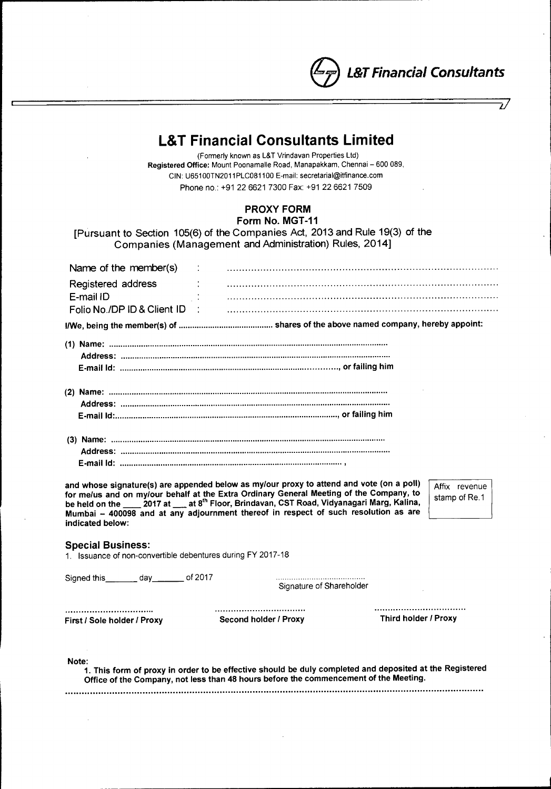e*L&TFinanaal Consultants*

 $\overline{\nu}$ 

# **L&T Financial Consultants Limited**

(Formerly known as L&T Vrindavan Properties Ltd) Registered Office: Mount Poonamalle Road, Manapakkam, Chennai - 600 089, CIN: U651 00TN2011 PLC0811 00 E-mail: [secretarial@itfinance.com](mailto:secretarial@itfinance.com) Phone no.: +91 22 6621 7300 Fax: +91 22 6621 7509

# PROXY FORM Form No. MGT-11

[Pursuant to Section 105(6) of the Companies Act, 2013 and Rule 19(3) of the Companies (Management and Administration) Rules, 2014]

| Name of the member(s) $\qquad$ :                                                                                                                                                                                                                                                                                                                                                                                                               |                                  |                          |  |  |
|------------------------------------------------------------------------------------------------------------------------------------------------------------------------------------------------------------------------------------------------------------------------------------------------------------------------------------------------------------------------------------------------------------------------------------------------|----------------------------------|--------------------------|--|--|
| Registered address<br>E-mail ID                                                                                                                                                                                                                                                                                                                                                                                                                |                                  |                          |  |  |
| Folio No./DP ID & Client ID :                                                                                                                                                                                                                                                                                                                                                                                                                  |                                  |                          |  |  |
|                                                                                                                                                                                                                                                                                                                                                                                                                                                |                                  |                          |  |  |
|                                                                                                                                                                                                                                                                                                                                                                                                                                                |                                  |                          |  |  |
|                                                                                                                                                                                                                                                                                                                                                                                                                                                |                                  |                          |  |  |
|                                                                                                                                                                                                                                                                                                                                                                                                                                                |                                  |                          |  |  |
| and whose signature(s) are appended below as my/our proxy to attend and vote (on a poll)<br>Affix revenue<br>for me/us and on my/our behalf at the Extra Ordinary General Meeting of the Company, to<br>stamp of Re.1<br>be held on the _____ 2017 at ____ at 8 <sup>th</sup> Floor, Brindavan, CST Road, Vidyanagari Marg, Kalina,<br>Mumbai - 400098 and at any adjournment thereof in respect of such resolution as are<br>indicated below: |                                  |                          |  |  |
| <b>Special Business:</b><br>1. Issuance of non-convertible debentures during FY 2017-18                                                                                                                                                                                                                                                                                                                                                        |                                  |                          |  |  |
| Signed this day of 2017                                                                                                                                                                                                                                                                                                                                                                                                                        |                                  | Signature of Shareholder |  |  |
| <br>First / Sole holder / Proxy                                                                                                                                                                                                                                                                                                                                                                                                                | <br><b>Second holder / Proxy</b> | Third holder / Proxy     |  |  |
| Note:<br>1. This form of proxy in order to be effective should be duly completed and deposited at the Registered<br>Office of the Company, not less than 48 hours before the commencement of the Meeting.                                                                                                                                                                                                                                      |                                  |                          |  |  |
|                                                                                                                                                                                                                                                                                                                                                                                                                                                |                                  |                          |  |  |